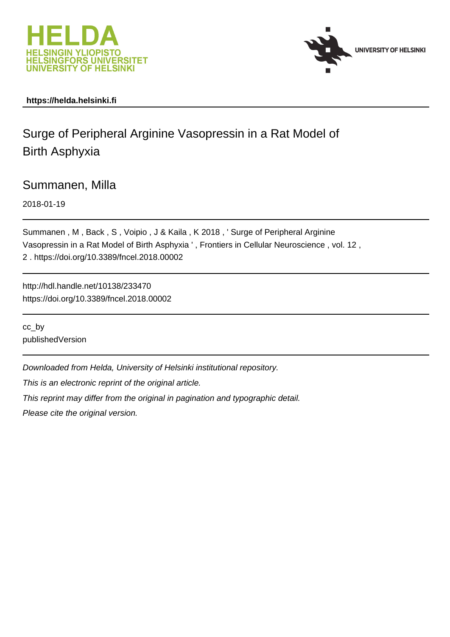



# **https://helda.helsinki.fi**

# Surge of Peripheral Arginine Vasopressin in a Rat Model of Birth Asphyxia

Summanen, Milla

2018-01-19

Summanen , M , Back , S , Voipio , J & Kaila , K 2018 , ' Surge of Peripheral Arginine Vasopressin in a Rat Model of Birth Asphyxia ' , Frontiers in Cellular Neuroscience , vol. 12 , 2 . https://doi.org/10.3389/fncel.2018.00002

http://hdl.handle.net/10138/233470 https://doi.org/10.3389/fncel.2018.00002

cc\_by publishedVersion

Downloaded from Helda, University of Helsinki institutional repository.

This is an electronic reprint of the original article.

This reprint may differ from the original in pagination and typographic detail.

Please cite the original version.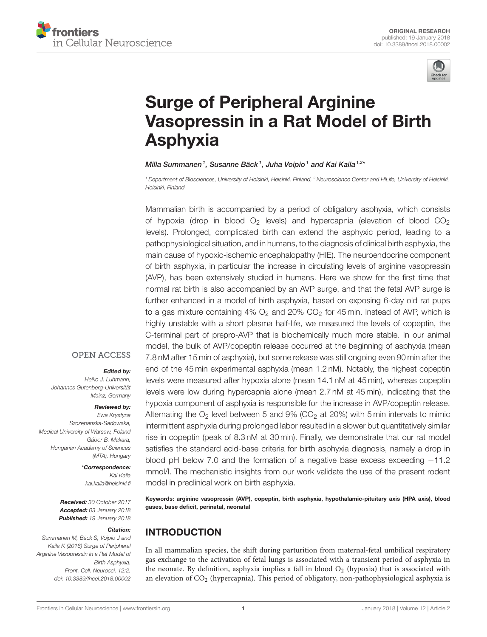



# Surge of Peripheral Arginine [Vasopressin in a Rat Model of Birth](https://www.frontiersin.org/articles/10.3389/fncel.2018.00002/full) Asphyxia

#### [Milla Summanen](http://loop.frontiersin.org/people/514473/overview)1, [Susanne Bäck](http://loop.frontiersin.org/people/500285/overview)1, [Juha Voipio](http://loop.frontiersin.org/people/89680/overview)1 and [Kai Kaila](http://loop.frontiersin.org/people/6142/overview)1,2\*

<sup>1</sup> Department of Biosciences, University of Helsinki, Helsinki, Finland, <sup>2</sup> Neuroscience Center and HiLife, University of Helsinki, Helsinki, Finland

Mammalian birth is accompanied by a period of obligatory asphyxia, which consists of hypoxia (drop in blood  $O_2$  levels) and hypercapnia (elevation of blood  $CO_2$ levels). Prolonged, complicated birth can extend the asphyxic period, leading to a pathophysiological situation, and in humans, to the diagnosis of clinical birth asphyxia, the main cause of hypoxic-ischemic encephalopathy (HIE). The neuroendocrine component of birth asphyxia, in particular the increase in circulating levels of arginine vasopressin (AVP), has been extensively studied in humans. Here we show for the first time that normal rat birth is also accompanied by an AVP surge, and that the fetal AVP surge is further enhanced in a model of birth asphyxia, based on exposing 6-day old rat pups to a gas mixture containing  $4\%$  O<sub>2</sub> and  $20\%$  CO<sub>2</sub> for 45 min. Instead of AVP, which is highly unstable with a short plasma half-life, we measured the levels of copeptin, the C-terminal part of prepro-AVP that is biochemically much more stable. In our animal model, the bulk of AVP/copeptin release occurred at the beginning of asphyxia (mean 7.8 nM after 15 min of asphyxia), but some release was still ongoing even 90 min after the end of the 45 min experimental asphyxia (mean 1.2 nM). Notably, the highest copeptin levels were measured after hypoxia alone (mean 14.1 nM at 45 min), whereas copeptin levels were low during hypercapnia alone (mean 2.7 nM at 45 min), indicating that the hypoxia component of asphyxia is responsible for the increase in AVP/copeptin release. Alternating the  $O<sub>2</sub>$  level between 5 and 9% (CO<sub>2</sub> at 20%) with 5 min intervals to mimic intermittent asphyxia during prolonged labor resulted in a slower but quantitatively similar rise in copeptin (peak of 8.3 nM at 30 min). Finally, we demonstrate that our rat model satisfies the standard acid-base criteria for birth asphyxia diagnosis, namely a drop in blood pH below 7.0 and the formation of a negative base excess exceeding −11.2 mmol/l. The mechanistic insights from our work validate the use of the present rodent model in preclinical work on birth asphyxia.

Keywords: arginine vasopressin (AVP), copeptin, birth asphyxia, hypothalamic-pituitary axis (HPA axis), blood gases, base deficit, perinatal, neonatal

# INTRODUCTION

In all mammalian species, the shift during parturition from maternal-fetal umbilical respiratory gas exchange to the activation of fetal lungs is associated with a transient period of asphyxia in the neonate. By definition, asphyxia implies a fall in blood  $O_2$  (hypoxia) that is associated with an elevation of CO<sup>2</sup> (hypercapnia). This period of obligatory, non-pathophysiological asphyxia is

#### **OPEN ACCESS**

#### Edited by:

Heiko J. Luhmann, Johannes Gutenberg-Universität Mainz, Germany

#### Reviewed by:

Ewa Krystyna Szczepanska-Sadowska, Medical University of Warsaw, Poland Gábor B. Makara, Hungarian Academy of Sciences (MTA), Hungary

> \*Correspondence: Kai Kaila [kai.kaila@helsinki.fi](mailto:kai.kaila@helsinki.fi)

Received: 30 October 2017 Accepted: 03 January 2018 Published: 19 January 2018

#### Citation:

Summanen M, Bäck S, Voipio J and Kaila K (2018) Surge of Peripheral Arginine Vasopressin in a Rat Model of Birth Asphyxia. Front. Cell. Neurosci. 12:2. doi: [10.3389/fncel.2018.00002](https://doi.org/10.3389/fncel.2018.00002)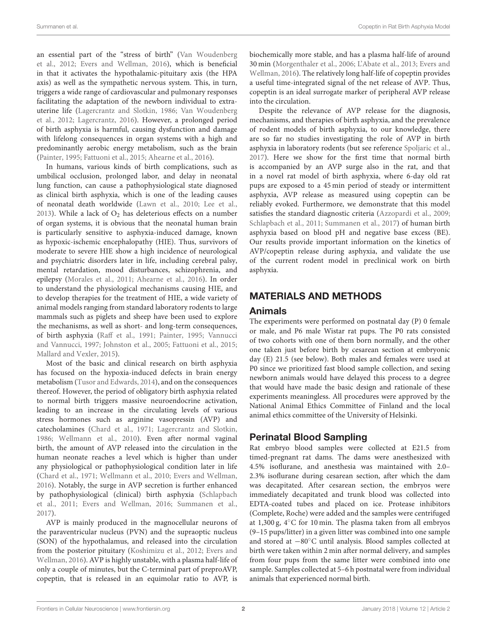an essential part of the "stress of birth" (Van Woudenberg et al., 2012; Evers and Wellman, 2016), which is beneficial in that it activates the hypothalamic-pituitary axis (the HPA axis) as well as the sympathetic nervous system. This, in turn, triggers a wide range of cardiovascular and pulmonary responses facilitating the adaptation of the newborn individual to extrauterine life (Lagercrantz and Slotkin, 1986; Van Woudenberg et al., 2012; Lagercrantz, 2016). However, a prolonged period of birth asphyxia is harmful, causing dysfunction and damage with lifelong consequences in organ systems with a high and predominantly aerobic energy metabolism, such as the brain (Painter, 1995; Fattuoni et al., 2015; Ahearne et al., 2016).

In humans, various kinds of birth complications, such as umbilical occlusion, prolonged labor, and delay in neonatal lung function, can cause a pathophysiological state diagnosed as clinical birth asphyxia, which is one of the leading causes of neonatal death worldwide (Lawn et al., 2010; Lee et al., 2013). While a lack of  $O_2$  has deleterious effects on a number of organ systems, it is obvious that the neonatal human brain is particularly sensitive to asphyxia-induced damage, known as hypoxic-ischemic encephalopathy (HIE). Thus, survivors of moderate to severe HIE show a high incidence of neurological and psychiatric disorders later in life, including cerebral palsy, mental retardation, mood disturbances, schizophrenia, and epilepsy (Morales et al., 2011; Ahearne et al., 2016). In order to understand the physiological mechanisms causing HIE, and to develop therapies for the treatment of HIE, a wide variety of animal models ranging from standard laboratory rodents to large mammals such as piglets and sheep have been used to explore the mechanisms, as well as short- and long-term consequences, of birth asphyxia (Raff et al., 1991; Painter, 1995; Vannucci and Vannucci, 1997; Johnston et al., 2005; Fattuoni et al., 2015; Mallard and Vexler, 2015).

Most of the basic and clinical research on birth asphyxia has focused on the hypoxia-induced defects in brain energy metabolism (Tusor and Edwards, 2014), and on the consequences thereof. However, the period of obligatory birth asphyxia related to normal birth triggers massive neuroendocrine activation, leading to an increase in the circulating levels of various stress hormones such as arginine vasopressin (AVP) and catecholamines (Chard et al., 1971; Lagercrantz and Slotkin, 1986; Wellmann et al., 2010). Even after normal vaginal birth, the amount of AVP released into the circulation in the human neonate reaches a level which is higher than under any physiological or pathophysiological condition later in life (Chard et al., 1971; Wellmann et al., 2010; Evers and Wellman, 2016). Notably, the surge in AVP secretion is further enhanced by pathophysiological (clinical) birth asphyxia (Schlapbach et al., 2011; Evers and Wellman, 2016; Summanen et al., 2017).

AVP is mainly produced in the magnocellular neurons of the paraventricular nucleus (PVN) and the supraoptic nucleus (SON) of the hypothalamus, and released into the circulation from the posterior pituitary (Koshimizu et al., 2012; Evers and Wellman, 2016). AVP is highly unstable, with a plasma half-life of only a couple of minutes, but the C-terminal part of preproAVP, copeptin, that is released in an equimolar ratio to AVP, is biochemically more stable, and has a plasma half-life of around 30 min (Morgenthaler et al., 2006; L'Abate et al., 2013; Evers and Wellman, 2016). The relatively long half-life of copeptin provides a useful time-integrated signal of the net release of AVP. Thus, copeptin is an ideal surrogate marker of peripheral AVP release into the circulation.

Despite the relevance of AVP release for the diagnosis, mechanisms, and therapies of birth asphyxia, and the prevalence of rodent models of birth asphyxia, to our knowledge, there are so far no studies investigating the role of AVP in birth asphyxia in laboratory rodents (but see reference Spoljaric et al., 2017). Here we show for the first time that normal birth is accompanied by an AVP surge also in the rat, and that in a novel rat model of birth asphyxia, where 6-day old rat pups are exposed to a 45 min period of steady or intermittent asphyxia, AVP release as measured using copeptin can be reliably evoked. Furthermore, we demonstrate that this model satisfies the standard diagnostic criteria (Azzopardi et al., 2009; Schlapbach et al., 2011; Summanen et al., 2017) of human birth asphyxia based on blood pH and negative base excess (BE). Our results provide important information on the kinetics of AVP/copeptin release during asphyxia, and validate the use of the current rodent model in preclinical work on birth asphyxia.

# MATERIALS AND METHODS

# Animals

The experiments were performed on postnatal day (P) 0 female or male, and P6 male Wistar rat pups. The P0 rats consisted of two cohorts with one of them born normally, and the other one taken just before birth by cesarean section at embryonic day (E) 21.5 (see below). Both males and females were used at P0 since we prioritized fast blood sample collection, and sexing newborn animals would have delayed this process to a degree that would have made the basic design and rationale of these experiments meaningless. All procedures were approved by the National Animal Ethics Committee of Finland and the local animal ethics committee of the University of Helsinki.

# Perinatal Blood Sampling

Rat embryo blood samples were collected at E21.5 from timed-pregnant rat dams. The dams were anesthesized with 4.5% isoflurane, and anesthesia was maintained with 2.0– 2.3% isoflurane during cesarean section, after which the dam was decapitated. After cesarean section, the embryos were immediately decapitated and trunk blood was collected into EDTA-coated tubes and placed on ice. Protease inhibitors (Complete, Roche) were added and the samples were centrifuged at 1,300 g, 4◦C for 10 min. The plasma taken from all embryos (9–15 pups/litter) in a given litter was combined into one sample and stored at −80◦C until analysis. Blood samples collected at birth were taken within 2 min after normal delivery, and samples from four pups from the same litter were combined into one sample. Samples collected at 5–6 h postnatal were from individual animals that experienced normal birth.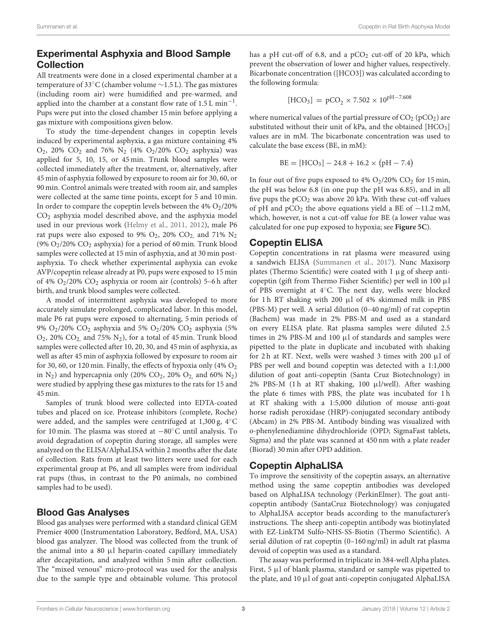# Experimental Asphyxia and Blood Sample Collection

All treatments were done in a closed experimental chamber at a temperature of 33◦C (chamber volume ∼1.5 L). The gas mixtures (including room air) were humidified and pre-warmed, and applied into the chamber at a constant flow rate of 1.5 L min<sup>-1</sup>. Pups were put into the closed chamber 15 min before applying a gas mixture with compositions given below.

To study the time-dependent changes in copeptin levels induced by experimental asphyxia, a gas mixture containing 4%  $O_2$ , 20%  $CO_2$  and 76%  $N_2$  (4%  $O_2$ /20%  $CO_2$  asphyxia) was applied for 5, 10, 15, or 45 min. Trunk blood samples were collected immediately after the treatment, or, alternatively, after 45 min of asphyxia followed by exposure to room air for 30, 60, or 90 min. Control animals were treated with room air, and samples were collected at the same time points, except for 5 and 10 min. In order to compare the copeptin levels between the  $4\%$  O<sub>2</sub>/20% CO<sup>2</sup> asphyxia model described above, and the asphyxia model used in our previous work (Helmy et al., 2011, 2012), male P6 rat pups were also exposed to 9%  $O_2$ , 20%  $CO_2$ , and 71%  $N_2$ (9%  $O_2/20\%$  CO<sub>2</sub> asphyxia) for a period of 60 min. Trunk blood samples were collected at 15 min of asphyxia, and at 30 min postasphyxia. To check whether experimental asphyxia can evoke AVP/copeptin release already at P0, pups were exposed to 15 min of 4% O2/20% CO<sup>2</sup> asphyxia or room air (controls) 5–6 h after birth, and trunk blood samples were collected.

A model of intermittent asphyxia was developed to more accurately simulate prolonged, complicated labor. In this model, male P6 rat pups were exposed to alternating, 5 min periods of 9% O<sub>2</sub>/20% CO<sub>2</sub> asphyxia and 5% O<sub>2</sub>/20% CO<sub>2</sub> asphyxia (5%)  $O_2$ , 20%  $CO_2$ , and 75%  $N_2$ ), for a total of 45 min. Trunk blood samples were collected after 10, 20, 30, and 45 min of asphyxia, as well as after 45 min of asphyxia followed by exposure to room air for 30, 60, or 120 min. Finally, the effects of hypoxia only (4%  $O<sub>2</sub>$ in  $N_2$ ) and hypercapnia only (20% CO<sub>2</sub>, 20% O<sub>2</sub>, and 60%  $N_2$ ) were studied by applying these gas mixtures to the rats for 15 and 45 min.

Samples of trunk blood were collected into EDTA-coated tubes and placed on ice. Protease inhibitors (complete, Roche) were added, and the samples were centrifuged at 1,300 g, 4◦C for 10 min. The plasma was stored at −80◦C until analysis. To avoid degradation of copeptin during storage, all samples were analyzed on the ELISA/AlphaLISA within 2 months after the date of collection. Rats from at least two litters were used for each experimental group at P6, and all samples were from individual rat pups (thus, in contrast to the P0 animals, no combined samples had to be used).

# Blood Gas Analyses

Blood gas analyses were performed with a standard clinical GEM Premier 4000 (Instrumentation Laboratory, Bedford, MA, USA) blood gas analyzer. The blood was collected from the trunk of the animal into a 80 µl heparin-coated capillary immediately after decapitation, and analyzed within 5 min after collection. The "mixed venous" micro-protocol was used for the analysis due to the sample type and obtainable volume. This protocol has a pH cut-off of 6.8, and a  $pCO<sub>2</sub>$  cut-off of 20 kPa, which prevent the observation of lower and higher values, respectively. Bicarbonate concentration ([HCO3]) was calculated according to the following formula:

$$
[HCO_3] = pCO_2 \times 7.502 \times 10^{pH - 7.608}
$$

where numerical values of the partial pressure of  $CO<sub>2</sub>$  (pCO<sub>2</sub>) are substituted without their unit of kPa, and the obtained  $[HCO<sub>3</sub>]$ values are in mM. The bicarbonate concentration was used to calculate the base excess (BE, in mM):

$$
BE = [HCO3] - 24.8 + 16.2 \times (pH - 7.4)
$$

In four out of five pups exposed to  $4\%$  O<sub>2</sub>/20% CO<sub>2</sub> for 15 min, the pH was below 6.8 (in one pup the pH was 6.85), and in all five pups the  $pCO<sub>2</sub>$  was above 20 kPa. With these cut-off values of pH and pCO<sub>2</sub> the above equations yield a BE of  $-11.2$  mM, which, however, is not a cut-off value for BE (a lower value was calculated for one pup exposed to hypoxia; see **Figure 5C**).

## Copeptin ELISA

Copeptin concentrations in rat plasma were measured using a sandwich ELISA (Summanen et al., 2017). Nunc Maxisorp plates (Thermo Scientific) were coated with  $1 \mu$ g of sheep anticopeptin (gift from Thermo Fisher Scientific) per well in 100 µl of PBS overnight at 4◦C. The next day, wells were blocked for 1 h RT shaking with 200  $\mu$ l of 4% skimmed milk in PBS (PBS-M) per well. A serial dilution (0–40 ng/ml) of rat copeptin (Bachem) was made in 2% PBS-M and used as a standard on every ELISA plate. Rat plasma samples were diluted 2.5 times in 2% PBS-M and 100  $\mu$ l of standards and samples were pipetted to the plate in duplicate and incubated with shaking for 2 h at RT. Next, wells were washed 3 times with 200  $\mu$ l of PBS per well and bound copeptin was detected with a 1:1,000 dilution of goat anti-copeptin (Santa Cruz Biotechnology) in 2% PBS-M (1 h at RT shaking, 100 µl/well). After washing the plate 6 times with PBS, the plate was incubated for 1 h at RT shaking with a 1:5,000 dilution of mouse anti-goat horse radish peroxidase (HRP)-conjugated secondary antibody (Abcam) in 2% PBS-M. Antibody binding was visualized with o-phenylenediamine dihydrochloride (OPD; SigmaFast tablets, Sigma) and the plate was scanned at 450 nm with a plate reader (Biorad) 30 min after OPD addition.

## Copeptin AlphaLISA

To improve the sensitivity of the copeptin assays, an alternative method using the same copeptin antibodies was developed based on AlphaLISA technology (PerkinElmer). The goat anticopeptin antibody (SantaCruz Biotechnology) was conjugated to AlphaLISA acceptor beads according to the manufacturer's instructions. The sheep anti-copeptin antibody was biotinylated with EZ-LinkTM Sulfo-NHS-SS-Biotin (Thermo Scientific). A serial dilution of rat copeptin (0–160 ng/ml) in adult rat plasma devoid of copeptin was used as a standard.

The assay was performed in triplicate in 384-well Alpha plates. First,  $5 \mu l$  of blank plasma, standard or sample was pipetted to the plate, and  $10 \mu l$  of goat anti-copeptin conjugated AlphaLISA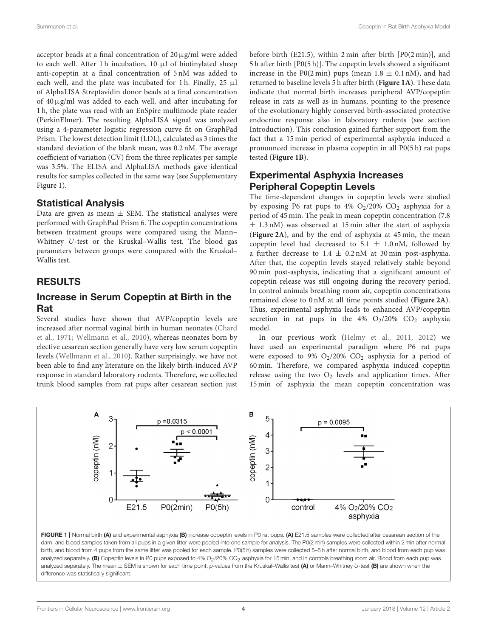acceptor beads at a final concentration of  $20 \mu g/ml$  were added to each well. After 1 h incubation, 10 µl of biotinylated sheep anti-copeptin at a final concentration of 5 nM was added to each well, and the plate was incubated for 1 h. Finally,  $25 \mu l$ of AlphaLISA Streptavidin donor beads at a final concentration of  $40 \mu$ g/ml was added to each well, and after incubating for 1 h, the plate was read with an EnSpire multimode plate reader (PerkinElmer). The resulting AlphaLISA signal was analyzed using a 4-parameter logistic regression curve fit on GraphPad Prism. The lowest detection limit (LDL), calculated as 3 times the standard deviation of the blank mean, was 0.2 nM. The average coefficient of variation (CV) from the three replicates per sample was 3.5%. The ELISA and AlphaLISA methods gave identical results for samples collected in the same way (see Supplementary Figure 1).

## Statistical Analysis

Data are given as mean  $\pm$  SEM. The statistical analyses were performed with GraphPad Prism 6. The copeptin concentrations between treatment groups were compared using the Mann– Whitney U-test or the Kruskal–Wallis test. The blood gas parameters between groups were compared with the Kruskal– Wallis test.

# RESULTS

# Increase in Serum Copeptin at Birth in the Rat

Several studies have shown that AVP/copeptin levels are increased after normal vaginal birth in human neonates (Chard et al., 1971; Wellmann et al., 2010), whereas neonates born by elective cesarean section generally have very low serum copeptin levels (Wellmann et al., 2010). Rather surprisingly, we have not been able to find any literature on the likely birth-induced AVP response in standard laboratory rodents. Therefore, we collected trunk blood samples from rat pups after cesarean section just before birth (E21.5), within 2 min after birth [P0(2 min)], and 5 h after birth [P0(5 h)]. The copeptin levels showed a significant increase in the P0(2 min) pups (mean  $1.8 \pm 0.1$  nM), and had returned to baseline levels 5 h after birth (**Figure 1A**). These data indicate that normal birth increases peripheral AVP/copeptin release in rats as well as in humans, pointing to the presence of the evolutionary highly conserved birth-associated protective endocrine response also in laboratory rodents (see section Introduction). This conclusion gained further support from the fact that a 15 min period of experimental asphyxia induced a pronounced increase in plasma copeptin in all P0(5 h) rat pups tested (**Figure 1B**).

# Experimental Asphyxia Increases Peripheral Copeptin Levels

The time-dependent changes in copeptin levels were studied by exposing P6 rat pups to 4%  $O<sub>2</sub>/20%$   $CO<sub>2</sub>$  asphyxia for a period of 45 min. The peak in mean copeptin concentration (7.8  $\pm$  1.3 nM) was observed at 15 min after the start of asphyxia (**Figure 2A**), and by the end of asphyxia at 45 min, the mean copeptin level had decreased to  $5.1 \pm 1.0$  nM, followed by a further decrease to  $1.4 \pm 0.2$  nM at 30 min post-asphyxia. After that, the copeptin levels stayed relatively stable beyond 90 min post-asphyxia, indicating that a significant amount of copeptin release was still ongoing during the recovery period. In control animals breathing room air, copeptin concentrations remained close to 0 nM at all time points studied (**Figure 2A**). Thus, experimental asphyxia leads to enhanced AVP/copeptin secretion in rat pups in the  $4\%$  O<sub>2</sub>/20% CO<sub>2</sub> asphyxia model.

In our previous work (Helmy et al., 2011, 2012) we have used an experimental paradigm where P6 rat pups were exposed to 9%  $O_2/20\%$   $CO_2$  asphyxia for a period of 60 min. Therefore, we compared asphyxia induced copeptin release using the two  $O_2$  levels and application times. After 15 min of asphyxia the mean copeptin concentration was



FIGURE 1 | Normal birth (A) and experimental asphyxia (B) increase copeptin levels in P0 rat pups. (A) E21.5 samples were collected after cesarean section of the dam, and blood samples taken from all pups in a given litter were pooled into one sample for analysis. The P0(2 min) samples were collected within 2 min after normal birth, and blood from 4 pups from the same litter was pooled for each sample. P0(5 h) samples were collected 5-6 h after normal birth, and blood from each pup was analyzed separately. (B) Copeptin levels in P0 pups exposed to 4% O<sub>2</sub>/20% CO<sub>2</sub> asphyxia for 15 min, and in controls breathing room air. Blood from each pup was analyzed separately. The mean  $\pm$  SEM is shown for each time point, p-values from the Kruskal–Wallis test (A) or Mann–Whitney U-test (B) are shown when the difference was statistically significant.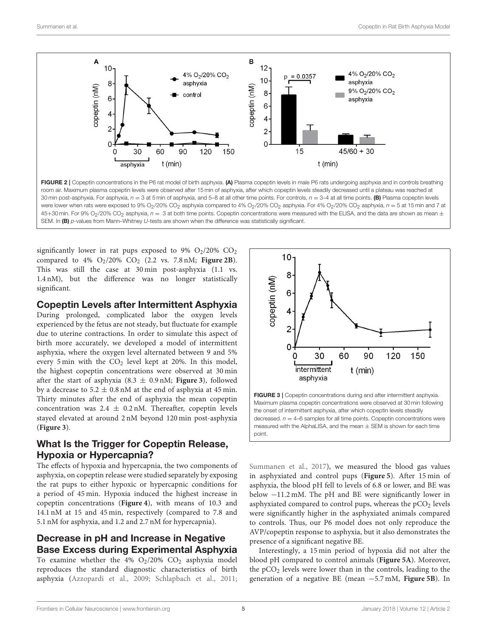

room air. Maximum plasma copeptin levels were observed after 15 min of asphyxia, after which copeptin levels steadily decreased until a plateau was reached at 30 min post-asphyxia. For asphyxia,  $n = 3$  at 5 min of asphyxia, and 5–8 at all other time points. For controls,  $n = 3-4$  at all time points. (B) Plasma copeptin levels were lower when rats were exposed to 9% O<sub>2</sub>/20% CO<sub>2</sub> asphyxia compared to 4% O<sub>2</sub>/20% CO<sub>2</sub> asphyxia. For 4% O<sub>2</sub>/20% CO<sub>2</sub> asphyxia,  $n = 5$  at 15 min and 7 at 45+30 min. For 9% O<sub>2</sub>/20% CO<sub>2</sub> asphyxia,  $n = 3$  at both time points. Copeptin concentrations were measured with the ELISA, and the data are shown as mean  $\pm$ SEM. In (B) p-values from Mann–Whitney U-tests are shown when the difference was statistically significant.

significantly lower in rat pups exposed to 9%  $O_2/20\%$   $CO_2$ compared to 4%  $O_2/20\%$   $CO_2$  (2.2 vs. 7.8 nM; **Figure 2B**). This was still the case at 30 min post-asphyxia (1.1 vs. 1.4 nM), but the difference was no longer statistically significant.

#### Copeptin Levels after Intermittent Asphyxia

During prolonged, complicated labor the oxygen levels experienced by the fetus are not steady, but fluctuate for example due to uterine contractions. In order to simulate this aspect of birth more accurately, we developed a model of intermittent asphyxia, where the oxygen level alternated between 9 and 5% every 5 min with the  $CO<sub>2</sub>$  level kept at 20%. In this model, the highest copeptin concentrations were observed at 30 min after the start of asphyxia  $(8.3 \pm 0.9 \text{ nM})$ ; **Figure 3**), followed by a decrease to  $5.2 \pm 0.8$  nM at the end of asphyxia at 45 min. Thirty minutes after the end of asphyxia the mean copeptin concentration was  $2.4 \pm 0.2$  nM. Thereafter, copeptin levels stayed elevated at around 2 nM beyond 120 min post-asphyxia (**Figure 3**).

# What Is the Trigger for Copeptin Release, Hypoxia or Hypercapnia?

The effects of hypoxia and hypercapnia, the two components of asphyxia, on copeptin release were studied separately by exposing the rat pups to either hypoxic or hypercapnic conditions for a period of 45 min. Hypoxia induced the highest increase in copeptin concentrations (**Figure 4**), with means of 10.3 and 14.1 nM at 15 and 45 min, respectively (compared to 7.8 and 5.1 nM for asphyxia, and 1.2 and 2.7 nM for hypercapnia).

# Decrease in pH and Increase in Negative Base Excess during Experimental Asphyxia

To examine whether the  $4\%$  O<sub>2</sub>/20% CO<sub>2</sub> asphyxia model reproduces the standard diagnostic characteristics of birth asphyxia (Azzopardi et al., 2009; Schlapbach et al., 2011;



FIGURE 3 | Copeptin concentrations during and after intermittent asphyxia. Maximum plasma copeptin concentrations were observed at 30 min following the onset of intermittent asphyxia, after which copeptin levels steadily decreased.  $n = 4-6$  samples for all time points. Copeptin concentrations were measured with the AlphaLISA, and the mean  $\pm$  SEM is shown for each time point.

Summanen et al., 2017), we measured the blood gas values in asphyxiated and control pups (**Figure 5**). After 15 min of asphyxia, the blood pH fell to levels of 6.8 or lower, and BE was below −11.2 mM. The pH and BE were significantly lower in asphyxiated compared to control pups, whereas the  $pCO<sub>2</sub>$  levels were significantly higher in the asphyxiated animals compared to controls. Thus, our P6 model does not only reproduce the AVP/copeptin response to asphyxia, but it also demonstrates the presence of a significant negative BE.

Interestingly, a 15 min period of hypoxia did not alter the blood pH compared to control animals (**Figure 5A**). Moreover, the pCO<sup>2</sup> levels were lower than in the controls, leading to the generation of a negative BE (mean −5.7 mM, **Figure 5B**). In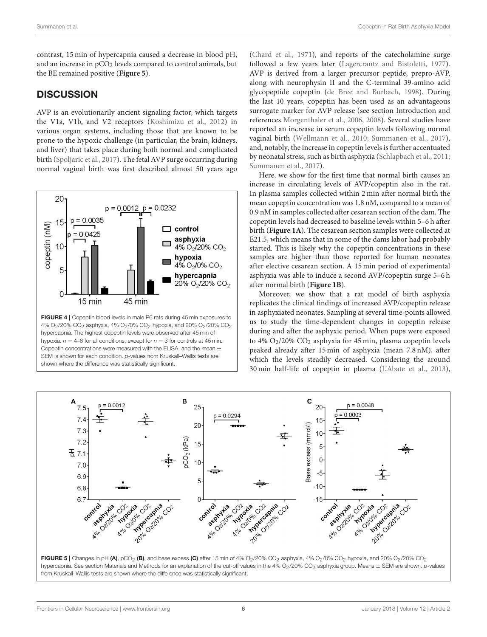contrast, 15 min of hypercapnia caused a decrease in blood pH, and an increase in pCO<sub>2</sub> levels compared to control animals, but the BE remained positive (**Figure 5**).

# **DISCUSSION**

AVP is an evolutionarily ancient signaling factor, which targets the V1a, V1b, and V2 receptors (Koshimizu et al., 2012) in various organ systems, including those that are known to be prone to the hypoxic challenge (in particular, the brain, kidneys, and liver) that takes place during both normal and complicated birth (Spoljaric et al., 2017). The fetal AVP surge occurring during normal vaginal birth was first described almost 50 years ago



4% O<sub>2</sub>/20% CO<sub>2</sub> asphyxia, 4% O<sub>2</sub>/0% CO<sub>2</sub> hypoxia, and 20% O<sub>2</sub>/20% CO<sub>2</sub> hypercapnia. The highest copeptin levels were observed after 45 min of hypoxia.  $n = 4$ –6 for all conditions, except for  $n = 3$  for controls at 45 min. Copeptin concentrations were measured with the ELISA, and the mean  $\pm$ SEM is shown for each condition. p-values from Kruskall–Wallis tests are shown where the difference was statistically significant.

(Chard et al., 1971), and reports of the catecholamine surge followed a few years later (Lagercrantz and Bistoletti, 1977). AVP is derived from a larger precursor peptide, prepro-AVP, along with neurophysin II and the C-terminal 39-amino acid glycopeptide copeptin (de Bree and Burbach, 1998). During the last 10 years, copeptin has been used as an advantageous surrogate marker for AVP release (see section Introduction and references Morgenthaler et al., 2006, 2008). Several studies have reported an increase in serum copeptin levels following normal vaginal birth (Wellmann et al., 2010; Summanen et al., 2017), and, notably, the increase in copeptin levels is further accentuated by neonatal stress, such as birth asphyxia (Schlapbach et al., 2011; Summanen et al., 2017).

Here, we show for the first time that normal birth causes an increase in circulating levels of AVP/copeptin also in the rat. In plasma samples collected within 2 min after normal birth the mean copeptin concentration was 1.8 nM, compared to a mean of 0.9 nM in samples collected after cesarean section of the dam. The copeptin levels had decreased to baseline levels within 5–6 h after birth (**Figure 1A**). The cesarean section samples were collected at E21.5, which means that in some of the dams labor had probably started. This is likely why the copeptin concentrations in these samples are higher than those reported for human neonates after elective cesarean section. A 15 min period of experimental asphyxia was able to induce a second AVP/copeptin surge 5–6 h after normal birth (**Figure 1B**).

Moreover, we show that a rat model of birth asphyxia replicates the clinical findings of increased AVP/copeptin release in asphyxiated neonates. Sampling at several time-points allowed us to study the time-dependent changes in copeptin release during and after the asphyxic period. When pups were exposed to 4%  $O_2/20\%$   $CO_2$  asphyxia for 45 min, plasma copeptin levels peaked already after 15 min of asphyxia (mean 7.8 nM), after which the levels steadily decreased. Considering the around 30 min half-life of copeptin in plasma (L'Abate et al., 2013),



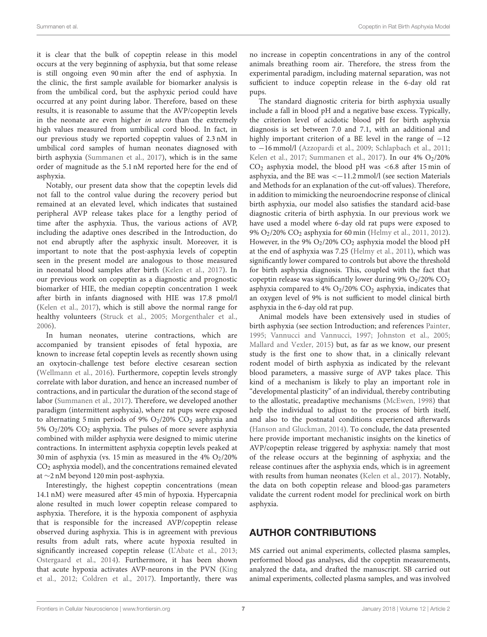it is clear that the bulk of copeptin release in this model occurs at the very beginning of asphyxia, but that some release is still ongoing even 90 min after the end of asphyxia. In the clinic, the first sample available for biomarker analysis is from the umbilical cord, but the asphyxic period could have occurred at any point during labor. Therefore, based on these results, it is reasonable to assume that the AVP/copeptin levels in the neonate are even higher in utero than the extremely high values measured from umbilical cord blood. In fact, in our previous study we reported copeptin values of 2.3 nM in umbilical cord samples of human neonates diagnosed with birth asphyxia (Summanen et al., 2017), which is in the same order of magnitude as the 5.1 nM reported here for the end of asphyxia.

Notably, our present data show that the copeptin levels did not fall to the control value during the recovery period but remained at an elevated level, which indicates that sustained peripheral AVP release takes place for a lengthy period of time after the asphyxia. Thus, the various actions of AVP, including the adaptive ones described in the Introduction, do not end abruptly after the asphyxic insult. Moreover, it is important to note that the post-asphyxia levels of copeptin seen in the present model are analogous to those measured in neonatal blood samples after birth (Kelen et al., 2017). In our previous work on copeptin as a diagnostic and prognostic biomarker of HIE, the median copeptin concentration 1 week after birth in infants diagnosed with HIE was 17.8 pmol/l (Kelen et al., 2017), which is still above the normal range for healthy volunteers (Struck et al., 2005; Morgenthaler et al., 2006).

In human neonates, uterine contractions, which are accompanied by transient episodes of fetal hypoxia, are known to increase fetal copeptin levels as recently shown using an oxytocin-challenge test before elective cesarean section (Wellmann et al., 2016). Furthermore, copeptin levels strongly correlate with labor duration, and hence an increased number of contractions, and in particular the duration of the second stage of labor (Summanen et al., 2017). Therefore, we developed another paradigm (intermittent asphyxia), where rat pups were exposed to alternating 5 min periods of 9%  $O_2/20\%$  CO<sub>2</sub> asphyxia and 5% O2/20% CO<sup>2</sup> asphyxia. The pulses of more severe asphyxia combined with milder asphyxia were designed to mimic uterine contractions. In intermittent asphyxia copeptin levels peaked at 30 min of asphyxia (vs. 15 min as measured in the 4%  $O_2/20%$ CO<sup>2</sup> asphyxia model), and the concentrations remained elevated at ∼2 nM beyond 120 min post-asphyxia.

Interestingly, the highest copeptin concentrations (mean 14.1 nM) were measured after 45 min of hypoxia. Hypercapnia alone resulted in much lower copeptin release compared to asphyxia. Therefore, it is the hypoxia component of asphyxia that is responsible for the increased AVP/copeptin release observed during asphyxia. This is in agreement with previous results from adult rats, where acute hypoxia resulted in significantly increased copeptin release (L'Abate et al., 2013; Ostergaard et al., 2014). Furthermore, it has been shown that acute hypoxia activates AVP-neurons in the PVN (King et al., 2012; Coldren et al., 2017). Importantly, there was no increase in copeptin concentrations in any of the control animals breathing room air. Therefore, the stress from the experimental paradigm, including maternal separation, was not sufficient to induce copeptin release in the 6-day old rat pups.

The standard diagnostic criteria for birth asphyxia usually include a fall in blood pH and a negative base excess. Typically, the criterion level of acidotic blood pH for birth asphyxia diagnosis is set between 7.0 and 7.1, with an additional and highly important criterion of a BE level in the range of −12 to −16 mmol/l (Azzopardi et al., 2009; Schlapbach et al., 2011; Kelen et al., 2017; Summanen et al., 2017). In our  $4\%$  O<sub>2</sub>/20%  $CO<sub>2</sub>$  asphyxia model, the blood pH was <6.8 after 15 min of asphyxia, and the BE was  $<-11.2$  mmol/l (see section Materials and Methods for an explanation of the cut-off values). Therefore, in addition to mimicking the neuroendocrine response of clinical birth asphyxia, our model also satisfies the standard acid-base diagnostic criteria of birth asphyxia. In our previous work we have used a model where 6-day old rat pups were exposed to 9% O2/20% CO<sup>2</sup> asphyxia for 60 min (Helmy et al., 2011, 2012). However, in the 9%  $O_2/20\%$  CO<sub>2</sub> asphyxia model the blood pH at the end of asphyxia was 7.25 (Helmy et al., 2011), which was significantly lower compared to controls but above the threshold for birth asphyxia diagnosis. This, coupled with the fact that copeptin release was significantly lower during 9%  $O_2/20\%$   $CO_2$ asphyxia compared to 4%  $O_2/20\%$  CO<sub>2</sub> asphyxia, indicates that an oxygen level of 9% is not sufficient to model clinical birth asphyxia in the 6-day old rat pup.

Animal models have been extensively used in studies of birth asphyxia (see section Introduction; and references Painter, 1995; Vannucci and Vannucci, 1997; Johnston et al., 2005; Mallard and Vexler, 2015) but, as far as we know, our present study is the first one to show that, in a clinically relevant rodent model of birth asphyxia as indicated by the relevant blood parameters, a massive surge of AVP takes place. This kind of a mechanism is likely to play an important role in "developmental plasticity" of an individual, thereby contributing to the allostatic, preadaptive mechanisms (McEwen, 1998) that help the individual to adjust to the process of birth itself, and also to the postnatal conditions experienced afterwards (Hanson and Gluckman, 2014). To conclude, the data presented here provide important mechanistic insights on the kinetics of AVP/copeptin release triggered by asphyxia: namely that most of the release occurs at the beginning of asphyxia; and the release continues after the asphyxia ends, which is in agreement with results from human neonates (Kelen et al., 2017). Notably, the data on both copeptin release and blood-gas parameters validate the current rodent model for preclinical work on birth asphyxia.

# AUTHOR CONTRIBUTIONS

MS carried out animal experiments, collected plasma samples, performed blood gas analyses, did the copeptin measurements, analyzed the data, and drafted the manuscript. SB carried out animal experiments, collected plasma samples, and was involved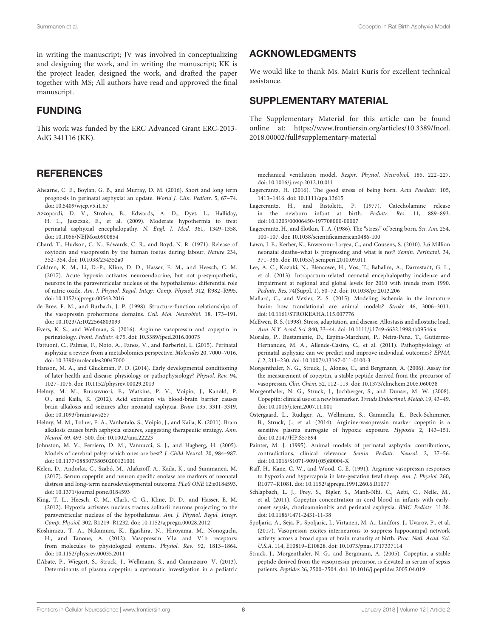in writing the manuscript; JV was involved in conceptualizing and designing the work, and in writing the manuscript; KK is the project leader, designed the work, and drafted the paper together with MS; All authors have read and approved the final manuscript.

#### FUNDING

This work was funded by the ERC Advanced Grant ERC-2013- AdG 341116 (KK).

#### **REFERENCES**

- Ahearne, C. E., Boylan, G. B., and Murray, D. M. (2016). Short and long term prognosis in perinatal asphyxia: an update. World J. Clin. Pediatr. 5, 67–74. doi: [10.5409/wjcp.v5.i1.67](https://doi.org/10.5409/wjcp.v5.i1.67)
- Azzopardi, D. V., Strohm, B., Edwards, A. D., Dyet, L., Halliday, H. L., Juszczak, E., et al. (2009). Moderate hypothermia to treat perinatal asphyxial encephalopathy. N. Engl. J. Med. 361, 1349–1358. doi: [10.1056/NEJMoa0900854](https://doi.org/10.1056/NEJMoa0900854)
- Chard, T., Hudson, C. N., Edwards, C. R., and Boyd, N. R. (1971). Release of oxytocin and vasopressin by the human foetus during labour. Nature 234, 352–354. doi: [10.1038/234352a0](https://doi.org/10.1038/234352a0)
- Coldren, K. M., Li, D.-P., Kline, D. D., Hasser, E. M., and Heesch, C. M. (2017). Acute hypoxia activates neuroendocrine, but not presympathetic, neurons in the paraventricular nucleus of the hypothalamus: differential role of nitric oxide. Am. J. Physiol. Regul. Integr. Comp. Physiol. 312, R982–R995. doi: [10.1152/ajpregu.00543.2016](https://doi.org/10.1152/ajpregu.00543.2016)
- de Bree, F. M., and Burbach, J. P. (1998). Structure-function relationships of the vasopressin prohormone domains. Cell. Mol. Neurobiol. 18, 173–191. doi: [10.1023/A:1022564803093](https://doi.org/10.1023/A:1022564803093)
- Evers, K. S., and Wellman, S. (2016). Arginine vasopressin and copeptin in perinatology. Front. Pediatr. 4:75. doi: [10.3389/fped.2016.00075](https://doi.org/10.3389/fped.2016.00075)
- Fattuoni, C., Palmas, F., Noto, A., Fanos, V., and Barberini, L. (2015). Perinatal asphyxia: a review from a metabolomics perspective. Molecules 20, 7000–7016. doi: [10.3390/molecules20047000](https://doi.org/10.3390/molecules20047000)
- Hanson, M. A., and Gluckman, P. D. (2014). Early developmental conditioning of later health and disease: physiology or pathophysiology? Physiol. Rev. 94, 1027–1076. doi: [10.1152/physrev.00029.2013](https://doi.org/10.1152/physrev.00029.2013)
- Helmy, M. M., Ruusuvuori, E., Watkins, P. V., Voipio, J., Kanold, P. O., and Kaila, K. (2012). Acid extrusion via blood-brain barrier causes brain alkalosis and seizures after neonatal asphyxia. Brain 135, 3311–3319. doi: [10.1093/brain/aws257](https://doi.org/10.1093/brain/aws257)
- Helmy, M. M., Tolner, E. A., Vanhatalo, S., Voipio, J., and Kaila, K. (2011). Brain alkalosis causes birth asphyxia seizures, suggesting therapeutic strategy. Ann. Neurol. 69, 493–500. doi: [10.1002/ana.22223](https://doi.org/10.1002/ana.22223)
- Johnston, M. V., Ferriero, D. M., Vannucci, S. J., and Hagberg, H. (2005). Models of cerebral palsy: which ones are best? J. Child Neurol. 20, 984–987. doi: [10.1177/08830738050200121001](https://doi.org/10.1177/08830738050200121001)
- Kelen, D., Andorka, C., Szabó, M., Alafuzoff, A., Kaila, K., and Summanen, M. (2017). Serum copeptin and neuron specific enolase are markers of neonatal distress and long-term neurodevelopmental outcome. PLoS ONE 12:e0184593. doi: [10.1371/journal.pone.0184593](https://doi.org/10.1371/journal.pone.0184593)
- King, T. L., Heesch, C. M., Clark, C. G., Kline, D. D., and Hasser, E. M. (2012). Hypoxia activates nucleus tractus solitarii neurons projecting to the paraventricular nucleus of the hypothalamus. Am. J. Physiol. Regul. Integr. Comp. Physiol. 302, R1219–R1232. doi: [10.1152/ajpregu.00028.2012](https://doi.org/10.1152/ajpregu.00028.2012)
- Koshimizu, T. A., Nakamura, K., Egashira, N., Hiroyama, M., Nonoguchi, H., and Tanoue, A. (2012). Vasopressin V1a and V1b receptors: from molecules to physiological systems. Physiol. Rev. 92, 1813–1864. doi: [10.1152/physrev.00035.2011](https://doi.org/10.1152/physrev.00035.2011)
- L'Abate, P., Wiegert, S., Struck, J., Wellmann, S., and Cannizzaro, V. (2013). Determinants of plasma copeptin: a systematic investigation in a pediatric

#### ACKNOWLEDGMENTS

We would like to thank Ms. Mairi Kuris for excellent technical assistance.

#### SUPPLEMENTARY MATERIAL

The Supplementary Material for this article can be found [online at: https://www.frontiersin.org/articles/10.3389/fncel.](https://www.frontiersin.org/articles/10.3389/fncel.2018.00002/full#supplementary-material) 2018.00002/full#supplementary-material

mechanical ventilation model. Respir. Physiol. Neurobiol. 185, 222–227. doi: [10.1016/j.resp.2012.10.011](https://doi.org/10.1016/j.resp.2012.10.011)

- Lagercrantz, H. (2016). The good stress of being born. Acta Paediatr. 105, 1413–1416. doi: [10.1111/apa.13615](https://doi.org/10.1111/apa.13615)
- Lagercrantz, H., and Bistoletti, P. (1977). Catecholamine release in the newborn infant at birth. Pediatr. Res. 11, 889–893. doi: [10.1203/00006450-197708000-00007](https://doi.org/10.1203/00006450-197708000-00007)
- Lagercrantz, H., and Slotkin, T. A. (1986). The "stress" of being born. Sci. Am. 254, 100–107. doi: [10.1038/scientificamerican0486-100](https://doi.org/10.1038/scientificamerican0486-100)
- Lawn, J. E., Kerber, K., Enweronu-Laryea, C., and Cousens, S. (2010). 3.6 Million neonatal deaths–what is progressing and what is not? Semin. Perinatol. 34, 371–386. doi: [10.1053/j.semperi.2010.09.011](https://doi.org/10.1053/j.semperi.2010.09.011)
- Lee, A. C., Kozuki, N., Blencowe, H., Vos, T., Bahalim, A., Darmstadt, G. L., et al. (2013). Intrapartum-related neonatal encephalopathy incidence and impairment at regional and global levels for 2010 with trends from 1990. Pediatr. Res. 74(Suppl. 1), 50–72. doi: [10.1038/pr.2013.206](https://doi.org/10.1038/pr.2013.206)
- Mallard, C., and Vexler, Z. S. (2015). Modeling ischemia in the immature brain: how translational are animal models? Stroke 46, 3006–3011. doi: [10.1161/STROKEAHA.115.007776](https://doi.org/10.1161/STROKEAHA.115.007776)
- McEwen, B. S. (1998). Stress, adaptation, and disease. Allostasis and allostatic load. Ann. N.Y. Acad. Sci. 840, 33–44. doi: [10.1111/j.1749-6632.1998.tb09546.x](https://doi.org/10.1111/j.1749-6632.1998.tb09546.x)
- Morales, P., Bustamante, D., Espina-Marchant, P., Neira-Pena, T., Gutierrez-Hernandez, M. A., Allende-Castro, C., et al. (2011). Pathophysiology of perinatal asphyxia: can we predict and improve individual outcomes? EPMA J. 2, 211–230. doi: [10.1007/s13167-011-0100-3](https://doi.org/10.1007/s13167-011-0100-3)
- Morgenthaler, N. G., Struck, J., Alonso, C., and Bergmann, A. (2006). Assay for the measurement of copeptin, a stable peptide derived from the precursor of vasopressin. Clin. Chem. 52, 112–119. doi: [10.1373/clinchem.2005.060038](https://doi.org/10.1373/clinchem.2005.060038)
- Morgenthaler, N. G., Struck, J., Jochberger, S., and Dunser, M. W. (2008). Copeptin: clinical use of a new biomarker. Trends Endocrinol. Metab. 19, 43–49. doi: [10.1016/j.tem.2007.11.001](https://doi.org/10.1016/j.tem.2007.11.001)
- Ostergaard, L., Rudiger, A., Wellmann, S., Gammella, E., Beck-Schimmer, B., Struck, J., et al. (2014). Arginine-vasopressin marker copeptin is a sensitive plasma surrogate of hypoxic exposure. Hypoxia 2, 143–151. doi: [10.2147/HP.S57894](https://doi.org/10.2147/HP.S57894)
- Painter, M. J. (1995). Animal models of perinatal asphyxia: contributions, contradictions, clinical relevance. Semin. Pediatr. Neurol. 2, 37–56. doi: [10.1016/S1071-9091\(05\)80004-X](https://doi.org/10.1016/S1071-9091(05)80004-X)
- Raff, H., Kane, C. W., and Wood, C. E. (1991). Arginine vasopressin responses to hypoxia and hypercapnia in late-gestation fetal sheep. Am. J. Physiol. 260, R1077–R1081. doi: [10.1152/ajpregu.1991.260.6.R1077](https://doi.org/10.1152/ajpregu.1991.260.6.R1077)
- Schlapbach, L. J., Frey, S., Bigler, S., Manh-Nhi, C., Aebi, C., Nelle, M., et al. (2011). Copeptin concentration in cord blood in infants with earlyonset sepsis, chorioamnionitis and perinatal asphyxia. BMC Pediatr. 11:38. doi: [10.1186/1471-2431-11-38](https://doi.org/10.1186/1471-2431-11-38)
- Spoljaric, A., Seja, P., Spoljaric, I., Virtanen, M. A., Lindfors, J., Uvarov, P., et al. (2017). Vasopressin excites interneurons to suppress hippocampal network activity across a broad span of brain maturity at birth. Proc. Natl. Acad. Sci. U.S.A. 114, E10819–E10828. doi: [10.1073/pnas.1717337114](https://doi.org/10.1073/pnas.1717337114)
- Struck, J., Morgenthaler, N. G., and Bergmann, A. (2005). Copeptin, a stable peptide derived from the vasopressin precursor, is elevated in serum of sepsis patients. Peptides 26, 2500–2504. doi: [10.1016/j.peptides.2005.04.019](https://doi.org/10.1016/j.peptides.2005.04.019)